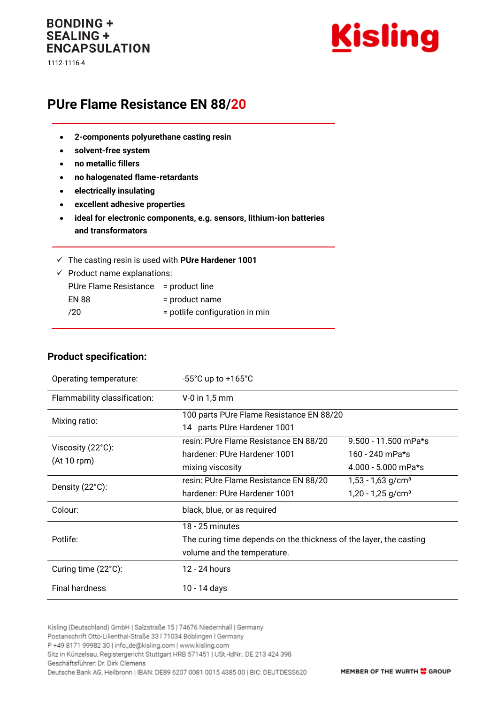## **BONDING + SEALING + ENCAPSULATION**

1112-1116-4



# **PUre Flame Resistance EN 88/20**

- **2-components polyurethane casting resin**
- **solvent-free system**
- **no metallic fillers**
- **no halogenated flame-retardants**
- **electrically insulating**
- **excellent adhesive properties**
- **ideal for electronic components, e.g. sensors, lithium-ion batteries and transformators**
- ✓ The casting resin is used with **PUre Hardener 1001**

| $\checkmark$ Product name explanations: |                                |  |
|-----------------------------------------|--------------------------------|--|
| PUre Flame Resistance = product line    |                                |  |
| <b>EN 88</b>                            | = product name                 |  |
| /20                                     | = potlife configuration in min |  |

#### **Product specification:**

| Operating temperature:           | $-55^{\circ}$ C up to $+165^{\circ}$ C                                                                               |                                                                    |  |
|----------------------------------|----------------------------------------------------------------------------------------------------------------------|--------------------------------------------------------------------|--|
| Flammability classification:     | $V-0$ in 1,5 mm                                                                                                      |                                                                    |  |
| Mixing ratio:                    | 100 parts PUre Flame Resistance EN 88/20<br>14 parts PUre Hardener 1001                                              |                                                                    |  |
| Viscosity (22°C):<br>(At 10 rpm) | resin: PUre Flame Resistance EN 88/20<br>hardener: PUre Hardener 1001<br>mixing viscosity                            | 9.500 - 11.500 mPa*s<br>160 - 240 mPa*s<br>$4.000 - 5.000$ mPa*s   |  |
| Density (22°C):                  | resin: PUre Flame Resistance EN 88/20<br>hardener: PUre Hardener 1001                                                | $1,53 - 1,63$ g/cm <sup>3</sup><br>$1,20 - 1,25$ g/cm <sup>3</sup> |  |
| Colour:                          | black, blue, or as required                                                                                          |                                                                    |  |
| Potlife:                         | 18 - 25 minutes<br>The curing time depends on the thickness of the layer, the casting<br>volume and the temperature. |                                                                    |  |
| Curing time $(22^{\circ}C)$ :    | 12 - 24 hours                                                                                                        |                                                                    |  |
| <b>Final hardness</b>            | 10 - 14 days                                                                                                         |                                                                    |  |

Kisling (Deutschland) GmbH | Salzstraße 15 | 74676 Niedernhall | Germany Postanschrift Otto-Lilienthal-Straße 33 | 71034 Böblingen | Germany P +49 8171 99982 30 | info\_de@kisling.com | www.kisling.com Sitz in Künzelsau, Registergericht Stuttgart HRB 571451 | USt.-IdNr.: DE 213 424 398 Geschäftsführer: Dr. Dirk Clemens Deutsche Bank AG, Heilbronn | IBAN: DE89 6207 0081 0015 4385 00 | BIC: DEUTDESS620